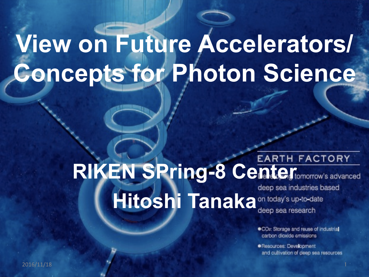# **View on Future Accelerators/ Concepts for Photon Science**

#### **RIKEN SPring-8 Center FACTORY Hitoshi Tanaka** <sup>deep sea muusules D.</sup> deep sea industries based

.CO2: Storage and reuse of industrial carbon digxide emissions

· Resources: Development and cultivation of deep sea resources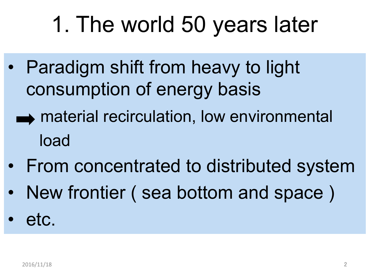# 1. The world 50 years later

- Paradigm shift from heavy to light consumption of energy basis
	- $\rightarrow$  material recirculation, low environmental load
- From concentrated to distributed system
- New frontier ( sea bottom and space )
- etc.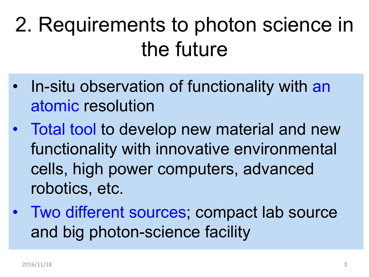# 2. Requirements to photon science in the future

- In-situ observation of functionality with an atomic resolution
- Total tool to develop new material and new functionality with innovative environmental cells, high power computers, advanced robotics, etc.
- Two different sources; compact lab source and big photon-science facility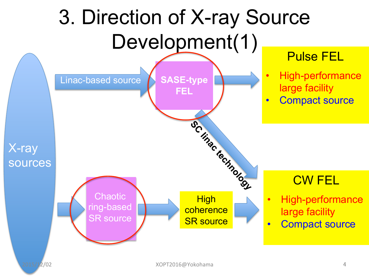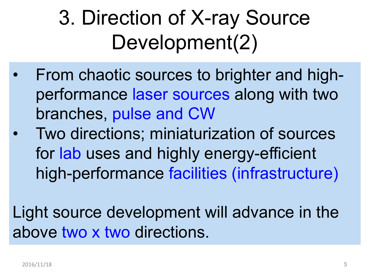# 3. Direction of X-ray Source Development(2)

- From chaotic sources to brighter and highperformance laser sources along with two branches, pulse and CW
- Two directions; miniaturization of sources for lab uses and highly energy-efficient high-performance facilities (infrastructure)

Light source development will advance in the above two x two directions.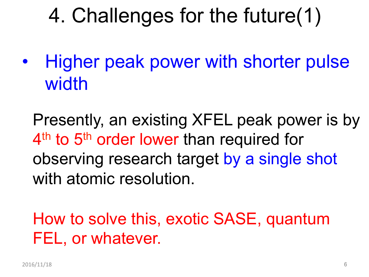## 4. Challenges for the future(1)

• Higher peak power with shorter pulse width

Presently, an existing XFEL peak power is by 4<sup>th</sup> to 5<sup>th</sup> order lower than required for observing research target by a single shot with atomic resolution.

How to solve this, exotic SASE, quantum FEL, or whatever.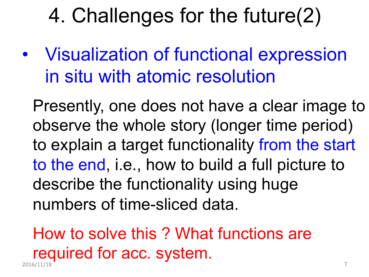#### 4. Challenges for the future(2)

• Visualization of functional expression in situ with atomic resolution

Presently, one does not have a clear image to observe the whole story (longer time period) to explain a target functionality from the start to the end, i.e., how to build a full picture to describe the functionality using huge numbers of time-sliced data.

2016/11/18 7 How to solve this ? What functions are required for acc. system.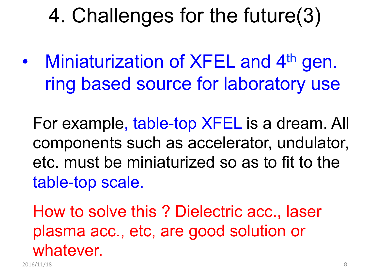## 4. Challenges for the future(3)

• Miniaturization of XFEL and 4<sup>th</sup> gen. ring based source for laboratory use

For example, table-top XFEL is a dream. All components such as accelerator, undulator, etc. must be miniaturized so as to fit to the table-top scale.

How to solve this ? Dielectric acc., laser plasma acc., etc, are good solution or whatever.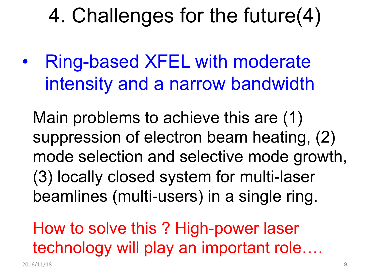#### 4. Challenges for the future(4)

• Ring-based XFEL with moderate intensity and a narrow bandwidth

Main problems to achieve this are (1) suppression of electron beam heating, (2) mode selection and selective mode growth, (3) locally closed system for multi-laser beamlines (multi-users) in a single ring.

How to solve this ? High-power laser technology will play an important role….